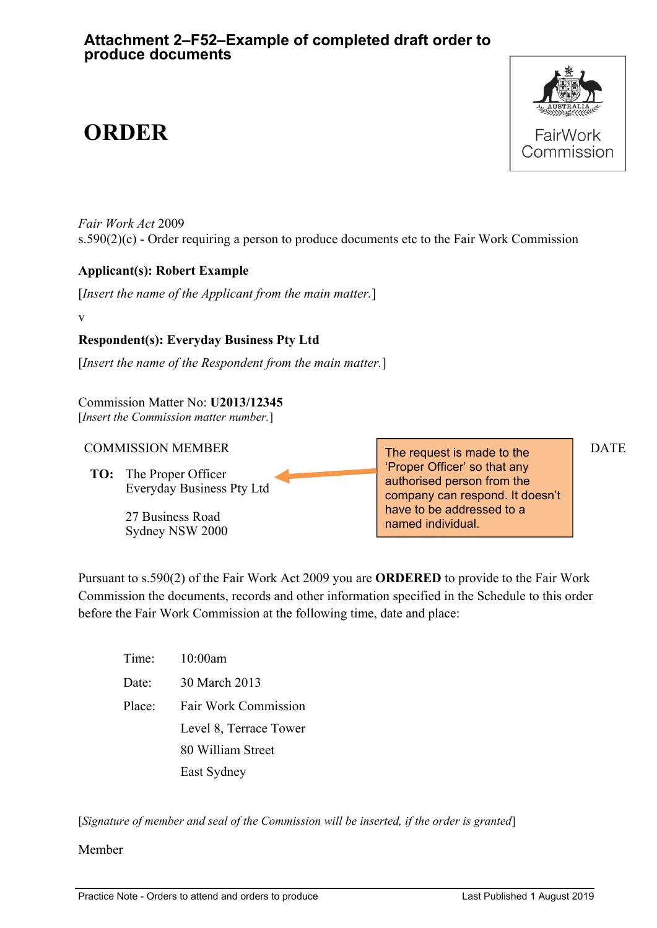# **ORDER**



*Fair Work Act* 2009 s.590(2)(c) - Order requiring a person to produce documents etc to the Fair Work Commission

# **Applicant(s): Robert Example**

[*Insert the name of the Applicant from the main matter.*]

v

# **Respondent(s): Everyday Business Pty Ltd**

[*Insert the name of the Respondent from the main matter.*]

Commission Matter No: **U2013/12345**  [*Insert the Commission matter number.*]

### $COMMISSION MEMBER$   $\qquad \qquad$  The request is mode to the DATE

**TO:** The Proper Officer Everyday Business Pty Ltd

> 27 Business Road Sydney NSW 2000

The request is made to the 'Proper Officer' so that any authorised person from the company can respond. It doesn't have to be addressed to a named individual.

Pursuant to s.590(2) of the Fair Work Act 2009 you are **ORDERED** to provide to the Fair Work Commission the documents, records and other information specified in the Schedule to this order before the Fair Work Commission at the following time, date and place:

| Time:  | 10:00am                     |
|--------|-----------------------------|
| Date:  | 30 March 2013               |
| Place: | <b>Fair Work Commission</b> |
|        | Level 8, Terrace Tower      |
|        | 80 William Street           |
|        | East Sydney                 |

[*Signature of member and seal of the Commission will be inserted, if the order is granted*]

Member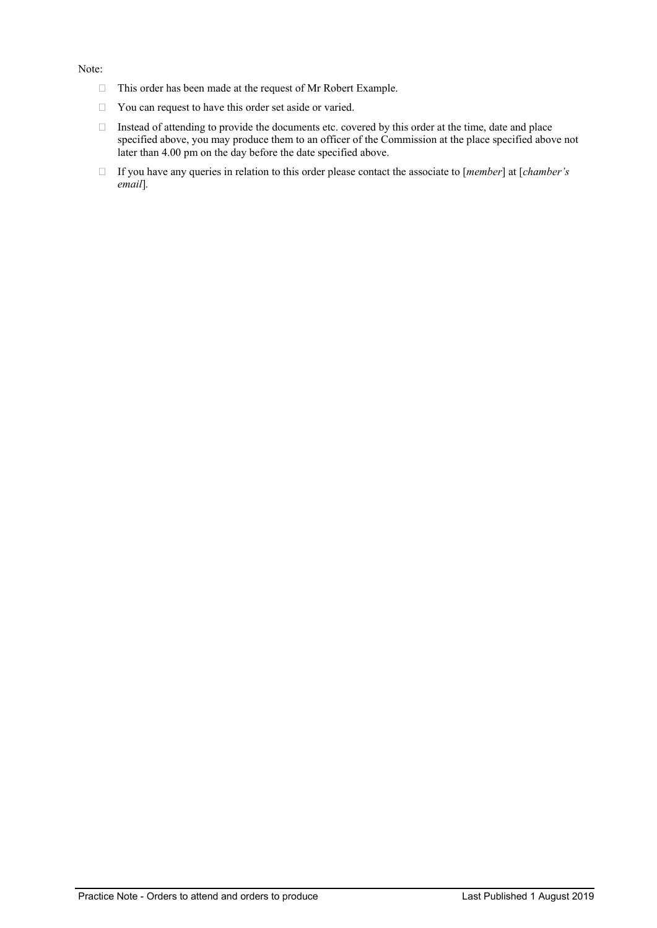#### Note:

- $\Box$  This order has been made at the request of Mr Robert Example.
- $\Box$  You can request to have this order set aside or varied.
- Instead of attending to provide the documents etc. covered by this order at the time, date and place specified above, you may produce them to an officer of the Commission at the place specified above not later than 4.00 pm on the day before the date specified above.
- If you have any queries in relation to this order please contact the associate to [*member*] at [*chamber's email*]*.*